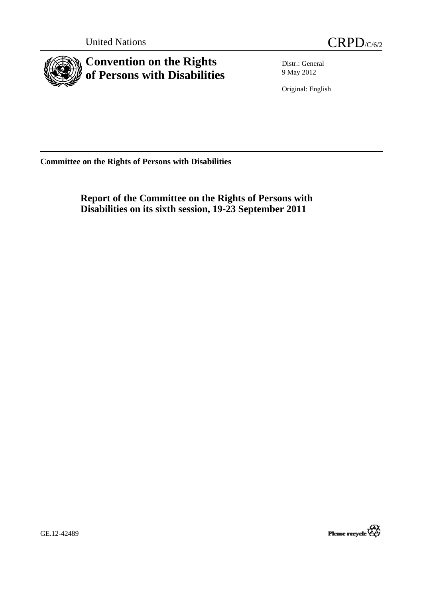

<span id="page-0-0"></span>

**Convention on the Rights of Persons with Disabilities** 

Distr.: General 9 May 2012

Original: English

**Committee on the Rights of Persons with Disabilities** 

 **Report of the Committee on the Rights of Persons with Disabilities on its sixth session, 19-23 September 2011** 





GE.12-42489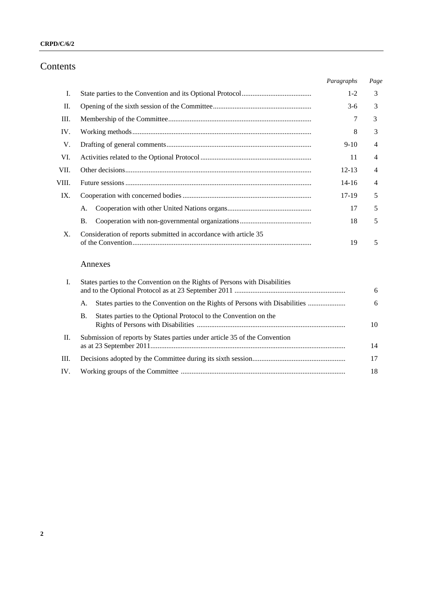### **CRPD/C/6/2**

# Contents

|       |                                                                  | Paragraphs | Page |
|-------|------------------------------------------------------------------|------------|------|
| Ι.    |                                                                  | $1 - 2$    | 3    |
| П.    |                                                                  | $3-6$      | 3    |
| Ш.    |                                                                  | 7          | 3    |
| IV.   |                                                                  | 8          | 3    |
| V.    |                                                                  | $9-10$     | 4    |
| VI.   |                                                                  | 11         | 4    |
| VII.  |                                                                  | $12 - 13$  | 4    |
| VIII. |                                                                  | $14 - 16$  | 4    |
| IX.   |                                                                  | $17-19$    | 5    |
|       | A.                                                               | 17         | 5    |
|       | Β.                                                               | 18         | 5    |
| X.    | Consideration of reports submitted in accordance with article 35 | 19         | 5    |

# Annexes

|     | States parties to the Convention on the Rights of Persons with Disabilities       | 6  |
|-----|-----------------------------------------------------------------------------------|----|
|     | States parties to the Convention on the Rights of Persons with Disabilities<br>А. | 6  |
|     | States parties to the Optional Protocol to the Convention on the<br>В.            | 10 |
| П.  | Submission of reports by States parties under article 35 of the Convention        | 14 |
| Ш.  |                                                                                   | 17 |
| IV. |                                                                                   | 18 |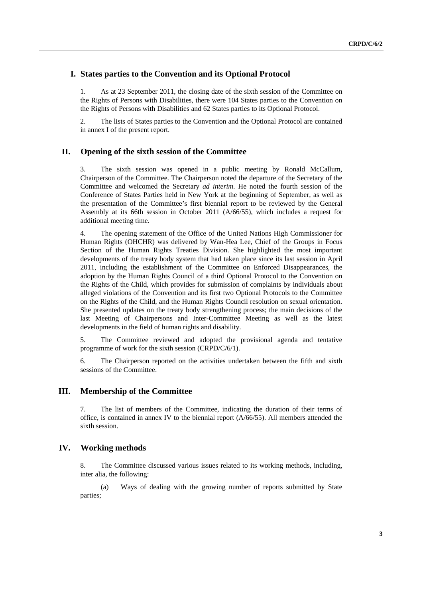## **I. States parties to the Convention and its Optional Protocol**

1. As at 23 September 2011, the closing date of the sixth session of the Committee on the Rights of Persons with Disabilities, there were 104 States parties to the Convention on the Rights of Persons with Disabilities and 62 States parties to its Optional Protocol.

2. The lists of States parties to the Convention and the Optional Protocol are contained in annex I of the present report.

### **II. Opening of the sixth session of the Committee**

3. The sixth session was opened in a public meeting by Ronald McCallum, Chairperson of the Committee. The Chairperson noted the departure of the Secretary of the Committee and welcomed the Secretary *ad interim*. He noted the fourth session of the Conference of States Parties held in New York at the beginning of September, as well as the presentation of the Committee's first biennial report to be reviewed by the General Assembly at its 66th session in October 2011 (A/66/55), which includes a request for additional meeting time.

4. The opening statement of the Office of the United Nations High Commissioner for Human Rights (OHCHR) was delivered by Wan-Hea Lee, Chief of the Groups in Focus Section of the Human Rights Treaties Division. She highlighted the most important developments of the treaty body system that had taken place since its last session in April 2011, including the establishment of the Committee on Enforced Disappearances, the adoption by the Human Rights Council of a third Optional Protocol to the Convention on the Rights of the Child, which provides for submission of complaints by individuals about alleged violations of the Convention and its first two Optional Protocols to the Committee on the Rights of the Child, and the Human Rights Council resolution on sexual orientation. She presented updates on the treaty body strengthening process; the main decisions of the last Meeting of Chairpersons and Inter-Committee Meeting as well as the latest developments in the field of human rights and disability.

5. The Committee reviewed and adopted the provisional agenda and tentative programme of work for the sixth session (CRPD/C/6/1).

6. The Chairperson reported on the activities undertaken between the fifth and sixth sessions of the Committee.

### **III. Membership of the Committee**

7. The list of members of the Committee, indicating the duration of their terms of office, is contained in annex IV to the biennial report (A/66/55). All members attended the sixth session.

### **IV. Working methods**

8. The Committee discussed various issues related to its working methods, including, inter alia, the following:

 (a) Ways of dealing with the growing number of reports submitted by State parties;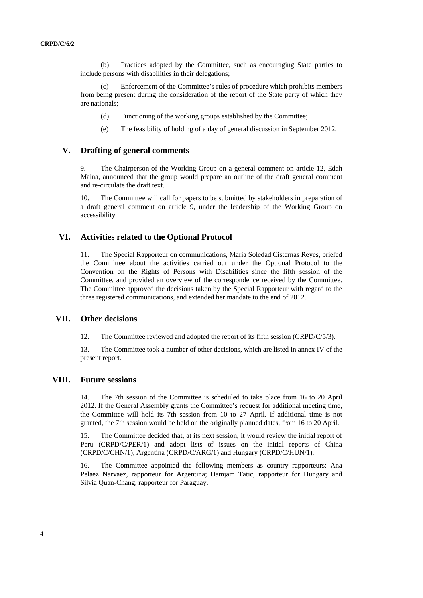(b) Practices adopted by the Committee, such as encouraging State parties to include persons with disabilities in their delegations;

 (c) Enforcement of the Committee's rules of procedure which prohibits members from being present during the consideration of the report of the State party of which they are nationals;

- (d) Functioning of the working groups established by the Committee;
- (e) The feasibility of holding of a day of general discussion in September 2012.

#### **V. Drafting of general comments**

9. The Chairperson of the Working Group on a general comment on article 12, Edah Maina, announced that the group would prepare an outline of the draft general comment and re-circulate the draft text.

10. The Committee will call for papers to be submitted by stakeholders in preparation of a draft general comment on article 9, under the leadership of the Working Group on accessibility

### **VI. Activities related to the Optional Protocol**

11. The Special Rapporteur on communications, Maria Soledad Cisternas Reyes, briefed the Committee about the activities carried out under the Optional Protocol to the Convention on the Rights of Persons with Disabilities since the fifth session of the Committee, and provided an overview of the correspondence received by the Committee. The Committee approved the decisions taken by the Special Rapporteur with regard to the three registered communications, and extended her mandate to the end of 2012.

### **VII. Other decisions**

12. The Committee reviewed and adopted the report of its fifth session (CRPD/C/5/3).

13. The Committee took a number of other decisions, which are listed in annex IV of the present report.

### **VIII. Future sessions**

14. The 7th session of the Committee is scheduled to take place from 16 to 20 April 2012. If the General Assembly grants the Committee's request for additional meeting time, the Committee will hold its 7th session from 10 to 27 April. If additional time is not granted, the 7th session would be held on the originally planned dates, from 16 to 20 April.

15. The Committee decided that, at its next session, it would review the initial report of Peru (CRPD/C/PER/1) and adopt lists of issues on the initial reports of China (CRPD/C/CHN/1), Argentina (CRPD/C/ARG/1) and Hungary (CRPD/C/HUN/1).

16. The Committee appointed the following members as country rapporteurs: Ana Pelaez Narvaez, rapporteur for Argentina; Damjam Tatic, rapporteur for Hungary and Silvia Quan-Chang, rapporteur for Paraguay.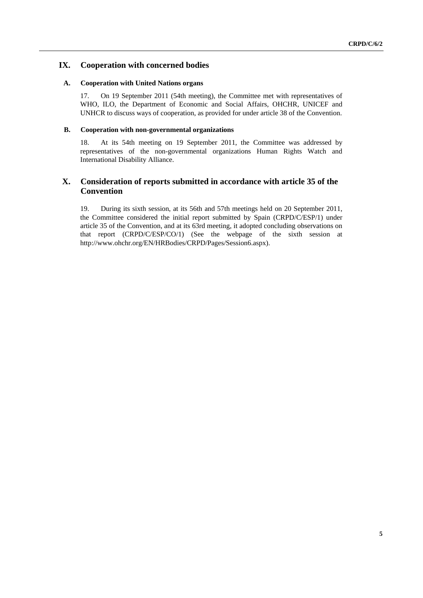## **IX. Cooperation with concerned bodies**

### **A. Cooperation with United Nations organs**

17. On 19 September 2011 (54th meeting), the Committee met with representatives of WHO, ILO, the Department of Economic and Social Affairs, OHCHR, UNICEF and UNHCR to discuss ways of cooperation, as provided for under article 38 of the Convention.

### **B. Cooperation with non-governmental organizations**

18. At its 54th meeting on 19 September 2011, the Committee was addressed by representatives of the non-governmental organizations Human Rights Watch and International Disability Alliance.

# **X. Consideration of reports submitted in accordance with article 35 of the Convention**

19. During its sixth session, at its 56th and 57th meetings held on 20 September 2011, the Committee considered the initial report submitted by Spain (CRPD/C/ESP/1) under article 35 of the Convention, and at its 63rd meeting, it adopted concluding observations on that report (CRPD/C/ESP/CO/1) (See the webpage of the sixth session at [http://www.ohchr.org/EN/HRBodies/CRPD/Pages/Session6.aspx\)](http://www.ohchr.org/EN/HRBodies/CRPD/Pages/Session6.aspx).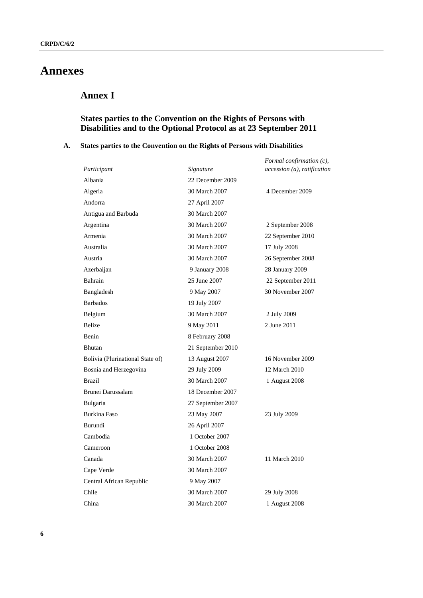# **Annexes**

# **Annex I**

# **States parties to the Convention on the Rights of Persons with Disabilities and to the Optional Protocol as at 23 September 2011**

## **A. States parties to the Convention on the Rights of Persons with Disabilities**

|                                  |                   | Formal confirmation (c),    |
|----------------------------------|-------------------|-----------------------------|
| Participant                      | Signature         | accession (a), ratification |
| Albania                          | 22 December 2009  |                             |
| Algeria                          | 30 March 2007     | 4 December 2009             |
| Andorra                          | 27 April 2007     |                             |
| Antigua and Barbuda              | 30 March 2007     |                             |
| Argentina                        | 30 March 2007     | 2 September 2008            |
| Armenia                          | 30 March 2007     | 22 September 2010           |
| Australia                        | 30 March 2007     | 17 July 2008                |
| Austria                          | 30 March 2007     | 26 September 2008           |
| Azerbaijan                       | 9 January 2008    | 28 January 2009             |
| Bahrain                          | 25 June 2007      | 22 September 2011           |
| Bangladesh                       | 9 May 2007        | 30 November 2007            |
| <b>Barbados</b>                  | 19 July 2007      |                             |
| Belgium                          | 30 March 2007     | 2 July 2009                 |
| Belize                           | 9 May 2011        | 2 June 2011                 |
| Benin                            | 8 February 2008   |                             |
| <b>Bhutan</b>                    | 21 September 2010 |                             |
| Bolivia (Plurinational State of) | 13 August 2007    | 16 November 2009            |
| Bosnia and Herzegovina           | 29 July 2009      | 12 March 2010               |
| <b>Brazil</b>                    | 30 March 2007     | 1 August 2008               |
| Brunei Darussalam                | 18 December 2007  |                             |
| <b>Bulgaria</b>                  | 27 September 2007 |                             |
| <b>Burkina Faso</b>              | 23 May 2007       | 23 July 2009                |
| Burundi                          | 26 April 2007     |                             |
| Cambodia                         | 1 October 2007    |                             |
| Cameroon                         | 1 October 2008    |                             |
| Canada                           | 30 March 2007     | 11 March 2010               |
| Cape Verde                       | 30 March 2007     |                             |
| Central African Republic         | 9 May 2007        |                             |
| Chile                            | 30 March 2007     | 29 July 2008                |
| China                            | 30 March 2007     | 1 August 2008               |
|                                  |                   |                             |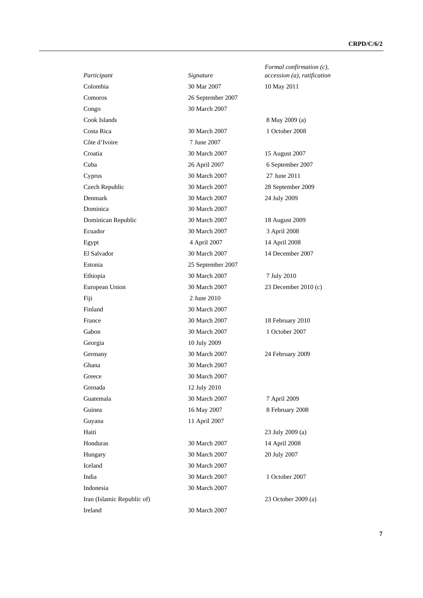| Participant                | Signature         | Formal confirmation $(c)$ ,<br>accession (a), ratification |
|----------------------------|-------------------|------------------------------------------------------------|
| Colombia                   | 30 Mar 2007       | 10 May 2011                                                |
| Comoros                    | 26 September 2007 |                                                            |
| Congo                      | 30 March 2007     |                                                            |
| Cook Islands               |                   | 8 May 2009 (a)                                             |
| Costa Rica                 | 30 March 2007     | 1 October 2008                                             |
| Côte d'Ivoire              | 7 June 2007       |                                                            |
| Croatia                    | 30 March 2007     | 15 August 2007                                             |
| Cuba                       | 26 April 2007     | 6 September 2007                                           |
| Cyprus                     | 30 March 2007     | 27 June 2011                                               |
| Czech Republic             | 30 March 2007     | 28 September 2009                                          |
| Denmark                    | 30 March 2007     | 24 July 2009                                               |
| Dominica                   | 30 March 2007     |                                                            |
| Dominican Republic         | 30 March 2007     | 18 August 2009                                             |
| Ecuador                    | 30 March 2007     | 3 April 2008                                               |
| Egypt                      | 4 April 2007      | 14 April 2008                                              |
| El Salvador                | 30 March 2007     | 14 December 2007                                           |
| Estonia                    | 25 September 2007 |                                                            |
| Ethiopia                   | 30 March 2007     | 7 July 2010                                                |
| European Union             | 30 March 2007     | 23 December 2010 (c)                                       |
| Fiji                       | 2 June 2010       |                                                            |
| Finland                    | 30 March 2007     |                                                            |
| France                     | 30 March 2007     | 18 February 2010                                           |
| Gabon                      | 30 March 2007     | 1 October 2007                                             |
| Georgia                    | 10 July 2009      |                                                            |
| Germany                    | 30 March 2007     | 24 February 2009                                           |
| Ghana                      | 30 March 2007     |                                                            |
| Greece                     | 30 March 2007     |                                                            |
| Grenada                    | 12 July 2010      |                                                            |
| Guatemala                  | 30 March 2007     | 7 April 2009                                               |
| Guinea                     | 16 May 2007       | 8 February 2008                                            |
| Guyana                     | 11 April 2007     |                                                            |
| Haiti                      |                   | 23 July 2009 (a)                                           |
| Honduras                   | 30 March 2007     | 14 April 2008                                              |
| Hungary                    | 30 March 2007     | 20 July 2007                                               |
| Iceland                    | 30 March 2007     |                                                            |
| India                      | 30 March 2007     | 1 October 2007                                             |
| Indonesia                  | 30 March 2007     |                                                            |
| Iran (Islamic Republic of) |                   | 23 October 2009 (a)                                        |
| Ireland                    | 30 March 2007     |                                                            |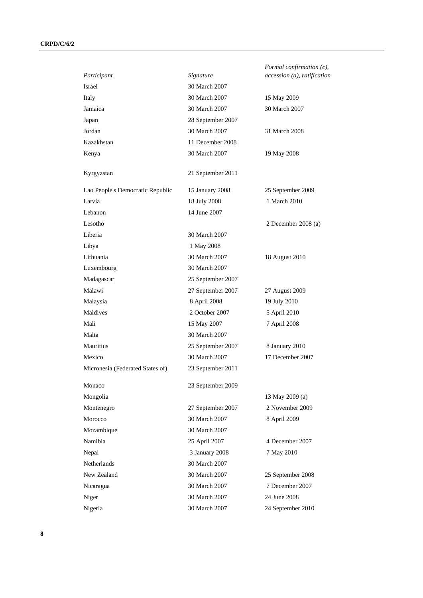| Participant                      | Signature                          | Formal confirmation (c),<br>accession (a), ratification |
|----------------------------------|------------------------------------|---------------------------------------------------------|
| Israel                           | 30 March 2007                      |                                                         |
| Italy                            | 30 March 2007                      | 15 May 2009                                             |
| Jamaica                          | 30 March 2007                      | 30 March 2007                                           |
|                                  |                                    |                                                         |
| Japan<br>Jordan                  | 28 September 2007<br>30 March 2007 | 31 March 2008                                           |
| Kazakhstan                       | 11 December 2008                   |                                                         |
|                                  |                                    |                                                         |
| Kenya                            | 30 March 2007                      | 19 May 2008                                             |
| Kyrgyzstan                       | 21 September 2011                  |                                                         |
| Lao People's Democratic Republic | 15 January 2008                    | 25 September 2009                                       |
| Latvia                           | 18 July 2008                       | 1 March 2010                                            |
| Lebanon                          | 14 June 2007                       |                                                         |
| Lesotho                          |                                    | 2 December 2008 (a)                                     |
| Liberia                          | 30 March 2007                      |                                                         |
| Libya                            | 1 May 2008                         |                                                         |
| Lithuania                        | 30 March 2007                      | 18 August 2010                                          |
| Luxembourg                       | 30 March 2007                      |                                                         |
| Madagascar                       | 25 September 2007                  |                                                         |
| Malawi                           | 27 September 2007                  | 27 August 2009                                          |
| Malaysia                         | 8 April 2008                       | 19 July 2010                                            |
| Maldives                         | 2 October 2007                     | 5 April 2010                                            |
| Mali                             | 15 May 2007                        | 7 April 2008                                            |
| Malta                            | 30 March 2007                      |                                                         |
| Mauritius                        | 25 September 2007                  | 8 January 2010                                          |
| Mexico                           | 30 March 2007                      | 17 December 2007                                        |
| Micronesia (Federated States of) | 23 September 2011                  |                                                         |
| Monaco                           | 23 September 2009                  |                                                         |
| Mongolia                         |                                    | 13 May 2009 (a)                                         |
| Montenegro                       | 27 September 2007                  | 2 November 2009                                         |
| Morocco                          | 30 March 2007                      | 8 April 2009                                            |
| Mozambique                       | 30 March 2007                      |                                                         |
| Namibia                          | 25 April 2007                      | 4 December 2007                                         |
| Nepal                            | 3 January 2008                     | 7 May 2010                                              |
| Netherlands                      | 30 March 2007                      |                                                         |
| New Zealand                      | 30 March 2007                      | 25 September 2008                                       |
| Nicaragua                        | 30 March 2007                      | 7 December 2007                                         |
| Niger                            | 30 March 2007                      | 24 June 2008                                            |
| Nigeria                          | 30 March 2007                      | 24 September 2010                                       |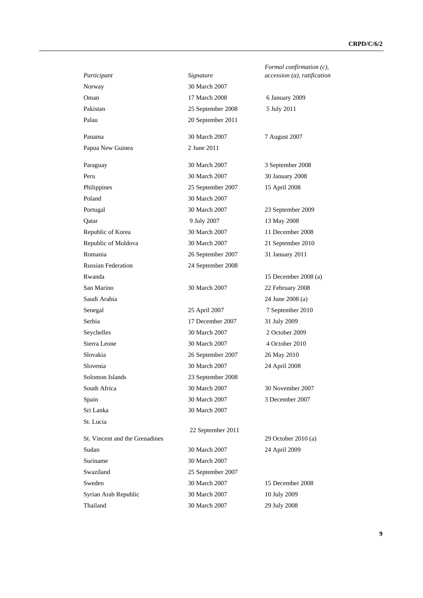|                                |                   | Formal confirmatio     |
|--------------------------------|-------------------|------------------------|
| Participant                    | Signature         | accession (a), ratific |
| Norway                         | 30 March 2007     |                        |
| Oman                           | 17 March 2008     | 6 January 2009         |
| Pakistan                       | 25 September 2008 | 5 July 2011            |
| Palau                          | 20 September 2011 |                        |
| Panama                         | 30 March 2007     | 7 August 2007          |
| Papua New Guinea               | 2 June 2011       |                        |
| Paraguay                       | 30 March 2007     | 3 September 2008       |
| Peru                           | 30 March 2007     | 30 January 2008        |
| Philippines                    | 25 September 2007 | 15 April 2008          |
| Poland                         | 30 March 2007     |                        |
| Portugal                       | 30 March 2007     | 23 September 2009      |
| Oatar                          | 9 July 2007       | 13 May 2008            |
| Republic of Korea              | 30 March 2007     | 11 December 2008       |
| Republic of Moldova            | 30 March 2007     | 21 September 2010      |
| Romania                        | 26 September 2007 | 31 January 2011        |
| <b>Russian Federation</b>      | 24 September 2008 |                        |
| Rwanda                         |                   | 15 December 2008       |
| San Marino                     | 30 March 2007     | 22 February 2008       |
| Saudi Arabia                   |                   | 24 June 2008 (a)       |
| Senegal                        | 25 April 2007     | 7 September 2010       |
| Serbia                         | 17 December 2007  | 31 July 2009           |
| Seychelles                     | 30 March 2007     | 2 October 2009         |
| Sierra Leone                   | 30 March 2007     | 4 October 2010         |
| Slovakia                       | 26 September 2007 | 26 May 2010            |
| Slovenia                       | 30 March 2007     | 24 April 2008          |
| Solomon Islands                | 23 September 2008 |                        |
| South Africa                   | 30 March 2007     | 30 November 2007       |
| Spain                          | 30 March 2007     | 3 December 2007        |
| Sri Lanka                      | 30 March 2007     |                        |
| St. Lucia                      |                   |                        |
| St. Vincent and the Grenadines | 22 September 2011 | 29 October 2010 (a)    |
| Sudan                          | 30 March 2007     | 24 April 2009          |
| Suriname                       | 30 March 2007     |                        |
| Swaziland                      | 25 September 2007 |                        |
| Sweden                         | 30 March 2007     | 15 December 2008       |
| Syrian Arab Republic           | 30 March 2007     | 10 July 2009           |
| Thailand                       | 30 March 2007     | 29 July 2008           |

*firmation (c), accession (a), ratification* 

 $per 2008$  (a)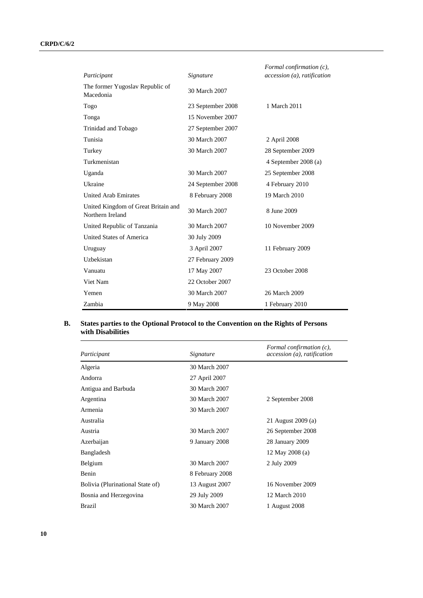|                                                         |                   | Formal confirmation $(c)$ ,   |
|---------------------------------------------------------|-------------------|-------------------------------|
| Participant                                             | Signature         | $accession(a)$ , ratification |
| The former Yugoslav Republic of<br>Macedonia            | 30 March 2007     |                               |
| Togo                                                    | 23 September 2008 | 1 March 2011                  |
| Tonga                                                   | 15 November 2007  |                               |
| Trinidad and Tobago                                     | 27 September 2007 |                               |
| Tunisia                                                 | 30 March 2007     | 2 April 2008                  |
| Turkey                                                  | 30 March 2007     | 28 September 2009             |
| Turkmenistan                                            |                   | 4 September 2008 (a)          |
| Uganda                                                  | 30 March 2007     | 25 September 2008             |
| Ukraine                                                 | 24 September 2008 | 4 February 2010               |
| <b>United Arab Emirates</b>                             | 8 February 2008   | 19 March 2010                 |
| United Kingdom of Great Britain and<br>Northern Ireland | 30 March 2007     | 8 June 2009                   |
| United Republic of Tanzania                             | 30 March 2007     | 10 November 2009              |
| United States of America                                | 30 July 2009      |                               |
| Uruguay                                                 | 3 April 2007      | 11 February 2009              |
| Uzbekistan                                              | 27 February 2009  |                               |
| Vanuatu                                                 | 17 May 2007       | 23 October 2008               |
| Viet Nam                                                | 22 October 2007   |                               |
| Yemen                                                   | 30 March 2007     | 26 March 2009                 |
| Zambia                                                  | 9 May 2008        | 1 February 2010               |

## **B. States parties to the Optional Protocol to the Convention on the Rights of Persons with Disabilities**

| Participant                      | Signature       | Formal confirmation $(c)$ ,<br>accession (a), ratification |
|----------------------------------|-----------------|------------------------------------------------------------|
| Algeria                          | 30 March 2007   |                                                            |
| Andorra                          | 27 April 2007   |                                                            |
| Antigua and Barbuda              | 30 March 2007   |                                                            |
| Argentina                        | 30 March 2007   | 2 September 2008                                           |
| Armenia                          | 30 March 2007   |                                                            |
| Australia                        |                 | 21 August 2009 (a)                                         |
| Austria                          | 30 March 2007   | 26 September 2008                                          |
| Azerbaijan                       | 9 January 2008  | 28 January 2009                                            |
| Bangladesh                       |                 | 12 May 2008 (a)                                            |
| Belgium                          | 30 March 2007   | 2 July 2009                                                |
| Benin                            | 8 February 2008 |                                                            |
| Bolivia (Plurinational State of) | 13 August 2007  | 16 November 2009                                           |
| Bosnia and Herzegovina           | 29 July 2009    | 12 March 2010                                              |
| Brazil                           | 30 March 2007   | 1 August 2008                                              |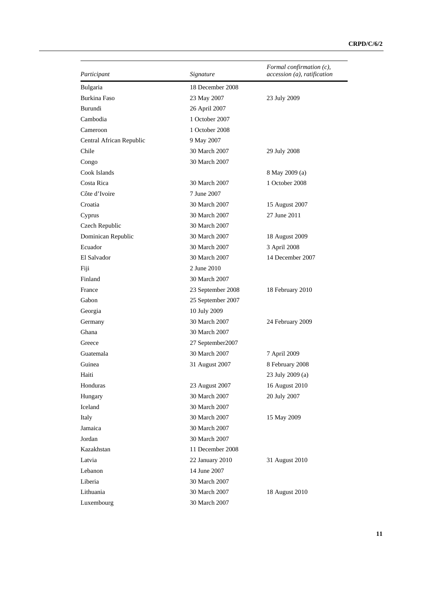| Participant              | Signature         | Formal confirmation $(c)$ ,<br>accession (a), ratification |
|--------------------------|-------------------|------------------------------------------------------------|
| Bulgaria                 | 18 December 2008  |                                                            |
| <b>Burkina Faso</b>      | 23 May 2007       | 23 July 2009                                               |
| Burundi                  | 26 April 2007     |                                                            |
| Cambodia                 | 1 October 2007    |                                                            |
| Cameroon                 | 1 October 2008    |                                                            |
| Central African Republic | 9 May 2007        |                                                            |
| Chile                    | 30 March 2007     | 29 July 2008                                               |
| Congo                    | 30 March 2007     |                                                            |
| Cook Islands             |                   | 8 May 2009 (a)                                             |
| Costa Rica               | 30 March 2007     | 1 October 2008                                             |
| Côte d'Ivoire            | 7 June 2007       |                                                            |
| Croatia                  | 30 March 2007     | 15 August 2007                                             |
| Cyprus                   | 30 March 2007     | 27 June 2011                                               |
| Czech Republic           | 30 March 2007     |                                                            |
| Dominican Republic       | 30 March 2007     | 18 August 2009                                             |
| Ecuador                  | 30 March 2007     | 3 April 2008                                               |
| El Salvador              | 30 March 2007     | 14 December 2007                                           |
| Fiji                     | 2 June 2010       |                                                            |
| Finland                  | 30 March 2007     |                                                            |
| France                   | 23 September 2008 | 18 February 2010                                           |
| Gabon                    | 25 September 2007 |                                                            |
| Georgia                  | 10 July 2009      |                                                            |
| Germany                  | 30 March 2007     | 24 February 2009                                           |
| Ghana                    | 30 March 2007     |                                                            |
| Greece                   | 27 September 2007 |                                                            |
| Guatemala                | 30 March 2007     | 7 April 2009                                               |
| Guinea                   | 31 August 2007    | 8 February 2008                                            |
| Haiti                    |                   | 23 July 2009 (a)                                           |
| Honduras                 | 23 August 2007    | 16 August 2010                                             |
| Hungary                  | 30 March 2007     | 20 July 2007                                               |
| Iceland                  | 30 March 2007     |                                                            |
| Italy                    | 30 March 2007     | 15 May 2009                                                |
| Jamaica                  | 30 March 2007     |                                                            |
| Jordan                   | 30 March 2007     |                                                            |
| Kazakhstan               | 11 December 2008  |                                                            |
| Latvia                   | 22 January 2010   | 31 August 2010                                             |
| Lebanon                  | 14 June 2007      |                                                            |
| Liberia                  | 30 March 2007     |                                                            |
| Lithuania                | 30 March 2007     | 18 August 2010                                             |
| Luxembourg               | 30 March 2007     |                                                            |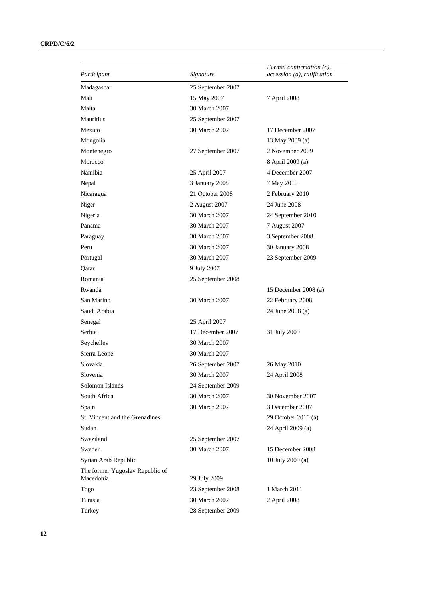| Participant                                  | Signature         | Formal confirmation $(c)$ ,<br>accession (a), ratification |
|----------------------------------------------|-------------------|------------------------------------------------------------|
| Madagascar                                   | 25 September 2007 |                                                            |
| Mali                                         | 15 May 2007       | 7 April 2008                                               |
| Malta                                        | 30 March 2007     |                                                            |
| Mauritius                                    | 25 September 2007 |                                                            |
| Mexico                                       | 30 March 2007     | 17 December 2007                                           |
| Mongolia                                     |                   | 13 May 2009 (a)                                            |
| Montenegro                                   | 27 September 2007 | 2 November 2009                                            |
| Morocco                                      |                   | 8 April 2009 (a)                                           |
| Namibia                                      | 25 April 2007     | 4 December 2007                                            |
| Nepal                                        | 3 January 2008    | 7 May 2010                                                 |
| Nicaragua                                    | 21 October 2008   | 2 February 2010                                            |
| Niger                                        | 2 August 2007     | 24 June 2008                                               |
| Nigeria                                      | 30 March 2007     | 24 September 2010                                          |
| Panama                                       | 30 March 2007     | 7 August 2007                                              |
| Paraguay                                     | 30 March 2007     | 3 September 2008                                           |
| Peru                                         | 30 March 2007     | 30 January 2008                                            |
| Portugal                                     | 30 March 2007     | 23 September 2009                                          |
| Qatar                                        | 9 July 2007       |                                                            |
| Romania                                      | 25 September 2008 |                                                            |
| Rwanda                                       |                   | 15 December 2008 (a)                                       |
| San Marino                                   | 30 March 2007     | 22 February 2008                                           |
| Saudi Arabia                                 |                   | 24 June 2008 (a)                                           |
| Senegal                                      | 25 April 2007     |                                                            |
| Serbia                                       | 17 December 2007  | 31 July 2009                                               |
| Seychelles                                   | 30 March 2007     |                                                            |
| Sierra Leone                                 | 30 March 2007     |                                                            |
| Slovakia                                     | 26 September 2007 | 26 May 2010                                                |
| Slovenia                                     | 30 March 2007     | 24 April 2008                                              |
| Solomon Islands                              | 24 September 2009 |                                                            |
| South Africa                                 | 30 March 2007     | 30 November 2007                                           |
| Spain                                        | 30 March 2007     | 3 December 2007                                            |
| St. Vincent and the Grenadines               |                   | 29 October 2010 (a)                                        |
| Sudan                                        |                   | 24 April 2009 (a)                                          |
| Swaziland                                    | 25 September 2007 |                                                            |
| Sweden                                       | 30 March 2007     | 15 December 2008                                           |
| Syrian Arab Republic                         |                   | 10 July 2009 (a)                                           |
| The former Yugoslav Republic of<br>Macedonia | 29 July 2009      |                                                            |
| Togo                                         | 23 September 2008 | 1 March 2011                                               |
| Tunisia                                      | 30 March 2007     | 2 April 2008                                               |
| Turkey                                       | 28 September 2009 |                                                            |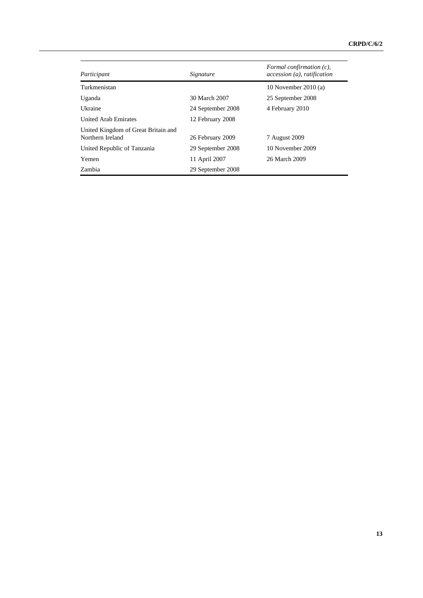| Participant                                             | Signature         | Formal confirmation $(c)$ ,<br>accession (a), ratification |
|---------------------------------------------------------|-------------------|------------------------------------------------------------|
| Turkmenistan                                            |                   | 10 November 2010 $(a)$                                     |
| Uganda                                                  | 30 March 2007     | 25 September 2008                                          |
| Ukraine                                                 | 24 September 2008 | 4 February 2010                                            |
| <b>United Arab Emirates</b>                             | 12 February 2008  |                                                            |
| United Kingdom of Great Britain and<br>Northern Ireland | 26 February 2009  | 7 August 2009                                              |
| United Republic of Tanzania                             | 29 September 2008 | 10 November 2009                                           |
| Yemen                                                   | 11 April 2007     | 26 March 2009                                              |
| Zambia                                                  | 29 September 2008 |                                                            |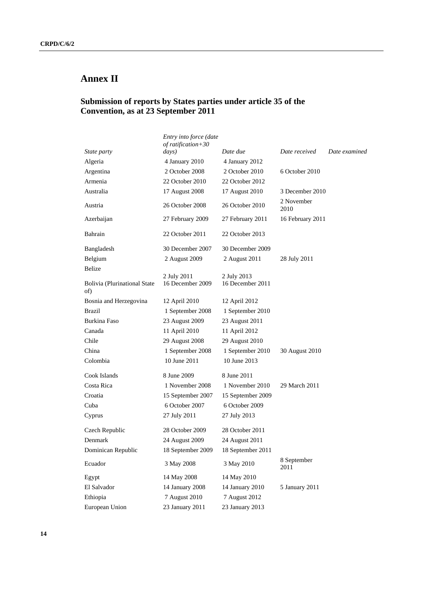# **Annex II**

# **Submission of reports by States parties under article 35 of the Convention, as at 23 September 2011**

|                                            | Entry into force (date<br>of ratification+30 |                                 |                     |               |
|--------------------------------------------|----------------------------------------------|---------------------------------|---------------------|---------------|
| State party                                | $\frac{days}{}$                              | Date due                        | Date received       | Date examined |
| Algeria                                    | 4 January 2010                               | 4 January 2012                  |                     |               |
| Argentina                                  | 2 October 2008                               | 2 October 2010                  | 6 October 2010      |               |
| Armenia                                    | 22 October 2010                              | 22 October 2012                 |                     |               |
| Australia                                  | 17 August 2008                               | 17 August 2010                  | 3 December 2010     |               |
| Austria                                    | 26 October 2008                              | 26 October 2010                 | 2 November<br>2010  |               |
| Azerbaijan                                 | 27 February 2009                             | 27 February 2011                | 16 February 2011    |               |
| Bahrain                                    | 22 October 2011                              | 22 October 2013                 |                     |               |
| Bangladesh                                 | 30 December 2007                             | 30 December 2009                |                     |               |
| Belgium                                    | 2 August 2009                                | 2 August 2011                   | 28 July 2011        |               |
| <b>Belize</b>                              |                                              |                                 |                     |               |
| <b>Bolivia</b> (Plurinational State<br>of) | 2 July 2011<br>16 December 2009              | 2 July 2013<br>16 December 2011 |                     |               |
| Bosnia and Herzegovina                     | 12 April 2010                                | 12 April 2012                   |                     |               |
| <b>Brazil</b>                              | 1 September 2008                             | 1 September 2010                |                     |               |
| Burkina Faso                               | 23 August 2009                               | 23 August 2011                  |                     |               |
| Canada                                     | 11 April 2010                                | 11 April 2012                   |                     |               |
| Chile                                      | 29 August 2008                               | 29 August 2010                  |                     |               |
| China                                      | 1 September 2008                             | 1 September 2010                | 30 August 2010      |               |
| Colombia                                   | 10 June 2011                                 | 10 June 2013                    |                     |               |
| Cook Islands                               | 8 June 2009                                  | 8 June 2011                     |                     |               |
| Costa Rica                                 | 1 November 2008                              | 1 November 2010                 | 29 March 2011       |               |
| Croatia                                    | 15 September 2007                            | 15 September 2009               |                     |               |
| Cuba                                       | 6 October 2007                               | 6 October 2009                  |                     |               |
| Cyprus                                     | 27 July 2011                                 | 27 July 2013                    |                     |               |
| Czech Republic                             | 28 October 2009                              | 28 October 2011                 |                     |               |
| Denmark                                    | 24 August 2009                               | 24 August 2011                  |                     |               |
| Dominican Republic                         | 18 September 2009                            | 18 September 2011               |                     |               |
| Ecuador                                    | 3 May 2008                                   | 3 May 2010                      | 8 September<br>2011 |               |
| Egypt                                      | 14 May 2008                                  | 14 May 2010                     |                     |               |
| El Salvador                                | 14 January 2008                              | 14 January 2010                 | 5 January 2011      |               |
| Ethiopia                                   | 7 August 2010                                | 7 August 2012                   |                     |               |
| European Union                             | 23 January 2011                              | 23 January 2013                 |                     |               |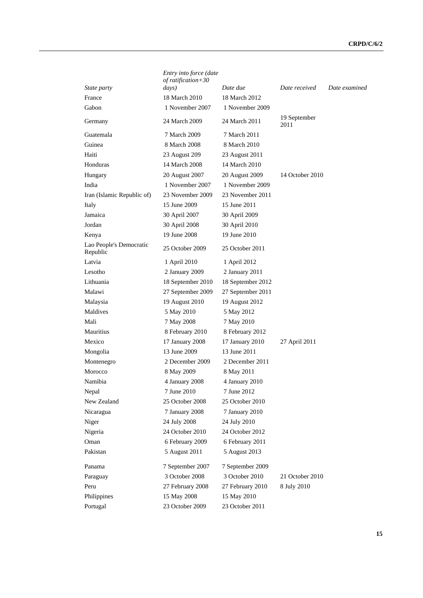|                                     | Entry into force (date<br>$of$ ratification + 30 |                   |                      |               |
|-------------------------------------|--------------------------------------------------|-------------------|----------------------|---------------|
| State party                         | days)                                            | Date due          | Date received        | Date examined |
| France                              | 18 March 2010                                    | 18 March 2012     |                      |               |
| Gabon                               | 1 November 2007                                  | 1 November 2009   |                      |               |
| Germany                             | 24 March 2009                                    | 24 March 2011     | 19 September<br>2011 |               |
| Guatemala                           | 7 March 2009                                     | 7 March 2011      |                      |               |
| Guinea                              | 8 March 2008                                     | 8 March 2010      |                      |               |
| Haiti                               | 23 August 209                                    | 23 August 2011    |                      |               |
| Honduras                            | 14 March 2008                                    | 14 March 2010     |                      |               |
| Hungary                             | 20 August 2007                                   | 20 August 2009    | 14 October 2010      |               |
| India                               | 1 November 2007                                  | 1 November 2009   |                      |               |
| Iran (Islamic Republic of)          | 23 November 2009                                 | 23 November 2011  |                      |               |
| Italy                               | 15 June 2009                                     | 15 June 2011      |                      |               |
| Jamaica                             | 30 April 2007                                    | 30 April 2009     |                      |               |
| Jordan                              | 30 April 2008                                    | 30 April 2010     |                      |               |
| Kenya                               | 19 June 2008                                     | 19 June 2010      |                      |               |
| Lao People's Democratic<br>Republic | 25 October 2009                                  | 25 October 2011   |                      |               |
| Latvia                              | 1 April 2010                                     | 1 April 2012      |                      |               |
| Lesotho                             | 2 January 2009                                   | 2 January 2011    |                      |               |
| Lithuania                           | 18 September 2010                                | 18 September 2012 |                      |               |
| Malawi                              | 27 September 2009                                | 27 September 2011 |                      |               |
| Malaysia                            | 19 August 2010                                   | 19 August 2012    |                      |               |
| Maldives                            | 5 May 2010                                       | 5 May 2012        |                      |               |
| Mali                                | 7 May 2008                                       | 7 May 2010        |                      |               |
| <b>Mauritius</b>                    | 8 February 2010                                  | 8 February 2012   |                      |               |
| Mexico                              | 17 January 2008                                  | 17 January 2010   | 27 April 2011        |               |
| Mongolia                            | 13 June 2009                                     | 13 June 2011      |                      |               |
| Montenegro                          | 2 December 2009                                  | 2 December 2011   |                      |               |
| Morocco                             | 8 May 2009                                       | 8 May 2011        |                      |               |
| Namibia                             | 4 January 2008                                   | 4 January 2010    |                      |               |
| Nepal                               | 7 June 2010                                      | 7 June 2012       |                      |               |
| New Zealand                         | 25 October 2008                                  | 25 October 2010   |                      |               |
| Nicaragua                           | 7 January 2008                                   | 7 January 2010    |                      |               |
| Niger                               | 24 July 2008                                     | 24 July 2010      |                      |               |
| Nigeria                             | 24 October 2010                                  | 24 October 2012   |                      |               |
| Oman                                | 6 February 2009                                  | 6 February 2011   |                      |               |
| Pakistan                            | 5 August 2011                                    | 5 August 2013     |                      |               |
| Panama                              | 7 September 2007                                 | 7 September 2009  |                      |               |
| Paraguay                            | 3 October 2008                                   | 3 October 2010    | 21 October 2010      |               |
| Peru                                | 27 February 2008                                 | 27 February 2010  | 8 July 2010          |               |
| Philippines                         | 15 May 2008                                      | 15 May 2010       |                      |               |
| Portugal                            | 23 October 2009                                  | 23 October 2011   |                      |               |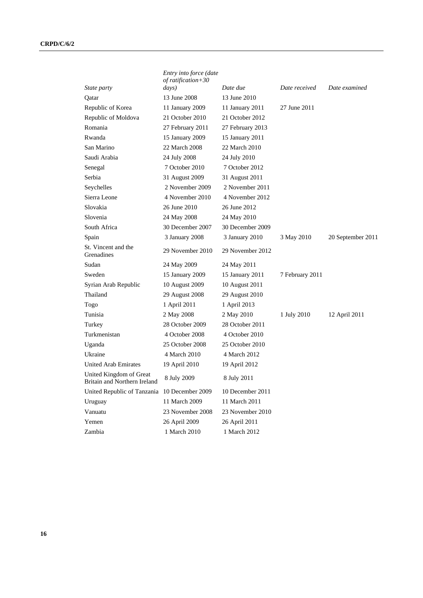|                                                         | Entry into force (date<br>of ratification+30 |                  |                 |                   |
|---------------------------------------------------------|----------------------------------------------|------------------|-----------------|-------------------|
| State party                                             | days)                                        | Date due         | Date received   | Date examined     |
| Qatar                                                   | 13 June 2008                                 | 13 June 2010     |                 |                   |
| Republic of Korea                                       | 11 January 2009                              | 11 January 2011  | 27 June 2011    |                   |
| Republic of Moldova                                     | 21 October 2010                              | 21 October 2012  |                 |                   |
| Romania                                                 | 27 February 2011                             | 27 February 2013 |                 |                   |
| Rwanda                                                  | 15 January 2009                              | 15 January 2011  |                 |                   |
| San Marino                                              | 22 March 2008                                | 22 March 2010    |                 |                   |
| Saudi Arabia                                            | 24 July 2008                                 | 24 July 2010     |                 |                   |
| Senegal                                                 | 7 October 2010                               | 7 October 2012   |                 |                   |
| Serbia                                                  | 31 August 2009                               | 31 August 2011   |                 |                   |
| Seychelles                                              | 2 November 2009                              | 2 November 2011  |                 |                   |
| Sierra Leone                                            | 4 November 2010                              | 4 November 2012  |                 |                   |
| Slovakia                                                | 26 June 2010                                 | 26 June 2012     |                 |                   |
| Slovenia                                                | 24 May 2008                                  | 24 May 2010      |                 |                   |
| South Africa                                            | 30 December 2007                             | 30 December 2009 |                 |                   |
| Spain                                                   | 3 January 2008                               | 3 January 2010   | 3 May 2010      | 20 September 2011 |
| St. Vincent and the<br>Grenadines                       | 29 November 2010                             | 29 November 2012 |                 |                   |
| Sudan                                                   | 24 May 2009                                  | 24 May 2011      |                 |                   |
| Sweden                                                  | 15 January 2009                              | 15 January 2011  | 7 February 2011 |                   |
| Syrian Arab Republic                                    | 10 August 2009                               | 10 August 2011   |                 |                   |
| Thailand                                                | 29 August 2008                               | 29 August 2010   |                 |                   |
| Togo                                                    | 1 April 2011                                 | 1 April 2013     |                 |                   |
| Tunisia                                                 | 2 May 2008                                   | 2 May 2010       | 1 July 2010     | 12 April 2011     |
| Turkey                                                  | 28 October 2009                              | 28 October 2011  |                 |                   |
| Turkmenistan                                            | 4 October 2008                               | 4 October 2010   |                 |                   |
| Uganda                                                  | 25 October 2008                              | 25 October 2010  |                 |                   |
| Ukraine                                                 | 4 March 2010                                 | 4 March 2012     |                 |                   |
| <b>United Arab Emirates</b>                             | 19 April 2010                                | 19 April 2012    |                 |                   |
| United Kingdom of Great<br>Britain and Northern Ireland | 8 July 2009                                  | 8 July 2011      |                 |                   |
| United Republic of Tanzania                             | 10 December 2009                             | 10 December 2011 |                 |                   |
| Uruguay                                                 | 11 March 2009                                | 11 March 2011    |                 |                   |
| Vanuatu                                                 | 23 November 2008                             | 23 November 2010 |                 |                   |
| Yemen                                                   | 26 April 2009                                | 26 April 2011    |                 |                   |
| Zambia                                                  | 1 March 2010                                 | 1 March 2012     |                 |                   |

**16**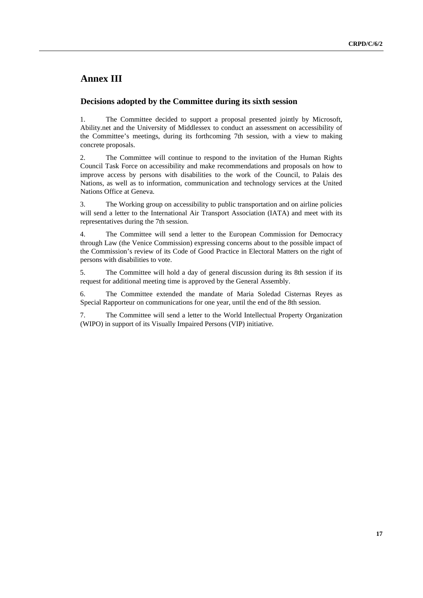# **Annex III**

## **Decisions adopted by the Committee during its sixth session**

1. The Committee decided to support a proposal presented jointly by Microsoft, Ability.net and the University of Middlessex to conduct an assessment on accessibility of the Committee's meetings, during its forthcoming 7th session, with a view to making concrete proposals.

2. The Committee will continue to respond to the invitation of the Human Rights Council Task Force on accessibility and make recommendations and proposals on how to improve access by persons with disabilities to the work of the Council, to Palais des Nations, as well as to information, communication and technology services at the United Nations Office at Geneva.

3. The Working group on accessibility to public transportation and on airline policies will send a letter to the International Air Transport Association (IATA) and meet with its representatives during the 7th session.

4. The Committee will send a letter to the European Commission for Democracy through Law (the Venice Commission) expressing concerns about to the possible impact of the Commission's review of its Code of Good Practice in Electoral Matters on the right of persons with disabilities to vote.

5. The Committee will hold a day of general discussion during its 8th session if its request for additional meeting time is approved by the General Assembly.

6. The Committee extended the mandate of Maria Soledad Cisternas Reyes as Special Rapporteur on communications for one year, until the end of the 8th session.

7. The Committee will send a letter to the World Intellectual Property Organization (WIPO) in support of its Visually Impaired Persons (VIP) initiative.